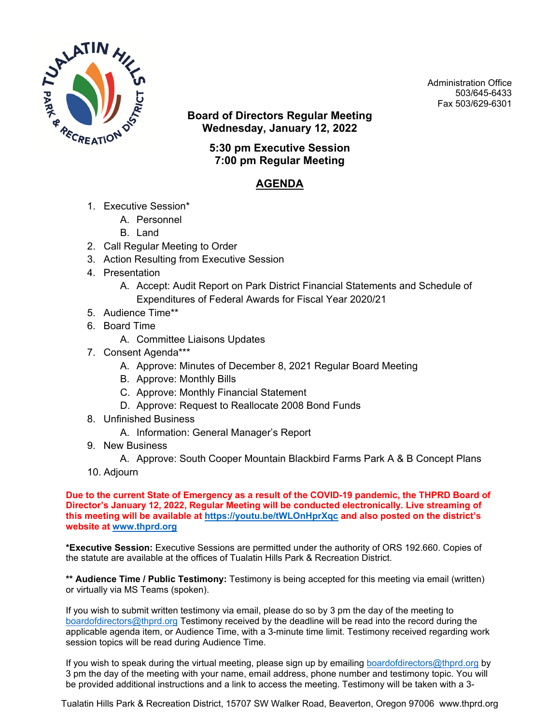

Administration Office 503/645-6433 Fax 503/629-6301

**Board of Directors Regular Meeting Wednesday, January 12, 2022**

> **5:30 pm Executive Session 7:00 pm Regular Meeting**

## **AGENDA**

- 1. Executive Session\*
	- A. Personnel
	- B. Land
- 2. Call Regular Meeting to Order
- 3. Action Resulting from Executive Session
- 4. Presentation
	- A. Accept: Audit Report on Park District Financial Statements and Schedule of Expenditures of Federal Awards for Fiscal Year 2020/21
- 5. Audience Time\*\*
- 6. Board Time
	- A. Committee Liaisons Updates
- 7. Consent Agenda\*\*\*
	- A. Approve: Minutes of December 8, 2021 Regular Board Meeting
	- B. Approve: Monthly Bills
	- C. Approve: Monthly Financial Statement
	- D. Approve: Request to Reallocate 2008 Bond Funds
- 8. Unfinished Business
	- A. Information: General Manager's Report
- 9. New Business

A. Approve: South Cooper Mountain Blackbird Farms Park A & B Concept Plans

10. Adjourn

**Due to the current State of Emergency as a result of the COVID-19 pandemic, the THPRD Board of Director's January 12, 2022, Regular Meeting will be conducted electronically. Live streaming of this meeting will be available at <https://youtu.be/tWLOnHprXqc> and also posted on the district's website at [www.thprd.org](http://www.thprd.org/)**

**\*Executive Session:** Executive Sessions are permitted under the authority of ORS 192.660. Copies of the statute are available at the offices of Tualatin Hills Park & Recreation District.

**\*\* Audience Time / Public Testimony:** Testimony is being accepted for this meeting via email (written) or virtually via MS Teams (spoken).

If you wish to submit written testimony via email, please do so by 3 pm the day of the meeting to [boardofdirectors@thprd.org](mailto:boardofdirectors@thprd.org) Testimony received by the deadline will be read into the record during the applicable agenda item, or Audience Time, with a 3-minute time limit. Testimony received regarding work session topics will be read during Audience Time.

If you wish to speak during the virtual meeting, please sign up by emailing [boardofdirectors@thprd.org](mailto:boardofdirectors@thprd.org) by 3 pm the day of the meeting with your name, email address, phone number and testimony topic. You will be provided additional instructions and a link to access the meeting. Testimony will be taken with a 3-

Tualatin Hills Park & Recreation District, 15707 SW Walker Road, Beaverton, Oregon 97006 www.thprd.org